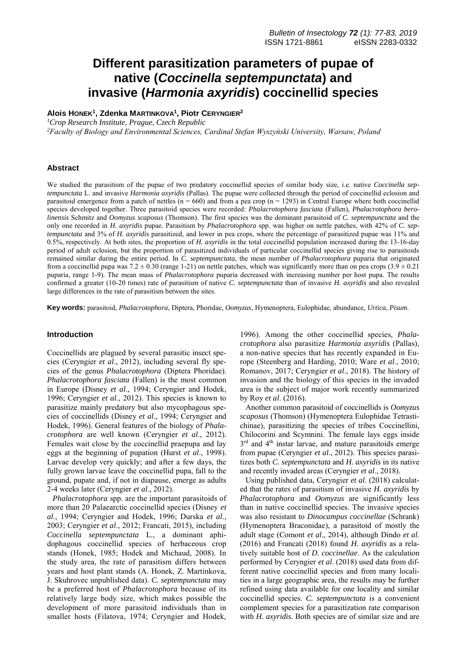# **Different parasitization parameters of pupae of native (***Coccinella septempunctata***) and invasive (***Harmonia axyridis***) coccinellid species**

**Alois HONEK<sup>1</sup> , Zdenka MARTINKOVA<sup>1</sup> , Piotr CERYNGIER<sup>2</sup>**

*<sup>1</sup>Crop Research Institute, Prague, Czech Republic*

*<sup>2</sup>Faculty of Biology and Environmental Sciences, Cardinal Stefan Wyszyński University, Warsaw, Poland*

# **Abstract**

We studied the parasitism of the pupae of two predatory coccinellid species of similar body size, i.e. native *Coccinella septempunctata* L. and invasive *Harmonia axyridis* (Pallas). The pupae were collected through the period of coccinellid eclosion and parasitoid emergence from a patch of nettles  $(n = 660)$  and from a pea crop  $(n = 1293)$  in Central Europe where both coccinellid species developed together. Three parasitoid species were recorded: *Phalacrotophora fasciata* (Fallen), *Phalacrotophora berolinensis* Schmitz and *Oomyzus scaposus* (Thomson). The first species was the dominant parasitoid of *C. septempunctata* and the only one recorded in *H. axyridis* pupae. Parasitism by *Phalacrotophora* spp. was higher on nettle patches, with 42% of *C. septempunctata* and 3% of *H. axyridis* parasitized, and lower in pea crops, where the percentage of parasitized pupae was 11% and 0.5%, respectively. At both sites, the proportion of *H. axyridis* in the total coccinellid population increased during the 13-16-day period of adult eclosion, but the proportion of parasitized individuals of particular coccinellid species giving rise to parasitoids remained similar during the entire period. In *C. septempunctata*, the mean number of *Phalacrotophora* puparia that originated from a coccinellid pupa was  $7.2 \pm 0.30$  (range 1-21) on nettle patches, which was significantly more than on pea crops (3.9  $\pm$  0.21) puparia, range 1-9). The mean mass of *Phalacrotophora* puparia decreased with increasing number per host pupa. The results confirmed a greater (10-20 times) rate of parasitism of native *C. septempunctata* than of invasive *H. axyridis* and also revealed large differences in the rate of parasitism between the sites.

**Key words:** parasitoid, *Phalacrotophora*, Diptera, Phoridae, *Oomyzus*, Hymenoptera, Eulophidae, abundance, *Urtica*, *Pisum*.

## **Introduction**

Coccinellids are plagued by several parasitic insect species (Ceryngier *et al*., 2012), including several fly species of the genus *Phalacrotophora* (Diptera Phoridae). *Phalacrotophora fasciata* (Fallen) is the most common in Europe (Disney *et al*., 1994; Ceryngier and Hodek, 1996; Ceryngier *et al*., 2012). This species is known to parasitize mainly predatory but also mycophagous species of coccinellids (Disney *et al*., 1994; Ceryngier and Hodek, 1996). General features of the biology of *Phalacrotophora* are well known (Ceryngier *et al*., 2012). Females wait close by the coccinellid praepupa and lay eggs at the beginning of pupation (Hurst *et al*., 1998). Larvae develop very quickly; and after a few days, the fully grown larvae leave the coccinellid pupa, fall to the ground, pupate and, if not in diapause, emerge as adults 2-4 weeks later (Ceryngier *et al*., 2012).

*Phalacrotophora* spp. are the important parasitoids of more than 20 Palaearctic coccinellid species (Disney *et al*., 1994; Ceryngier and Hodek, 1996; Durska *et al*., 2003; Ceryngier *et al*., 2012; Francati, 2015), including *Coccinella septempunctata* L., a dominant aphidophagous coccinellid species of herbaceous crop stands (Honek, 1985; Hodek and Michaud, 2008). In the study area, the rate of parasitism differs between years and host plant stands (A. Honek, Z. Martinkova, J. Skuhrovec unpublished data). *C. septempunctata* may be a preferred host of *Phalacrotophora* because of its relatively large body size, which makes possible the development of more parasitoid individuals than in smaller hosts (Filatova, 1974; Ceryngier and Hodek,

1996). Among the other coccinellid species, *Phalacrotophora* also parasitize *Harmonia axyridis* (Pallas), a non-native species that has recently expanded in Europe (Steenberg and Harding, 2010; Ware *et al*., 2010; Romanov, 2017; Ceryngier *et al*., 2018). The history of invasion and the biology of this species in the invaded area is the subject of major work recently summarized by Roy *et al*. (2016).

Another common parasitoid of coccinellids is *Oomyzus scaposus* (Thomson) (Hymenoptera Eulophidae Tetrastichinae), parasitizing the species of tribes Coccinellini, Chilocorini and Scymnini. The female lays eggs inside 3<sup>rd</sup> and 4<sup>th</sup> instar larvae, and mature parasitoids emerge from pupae (Ceryngier *et al*., 2012). This species parasitizes both *C. septempunctata* and *H. axyridis* in its native and recently invaded areas (Ceryngier *et al*., 2018).

Using published data, Ceryngier *et al*. (2018) calculated that the rates of parasitism of invasive *H. axyridis* by *Phalacrotophora* and *Oomyzus* are significantly less than in native coccinellid species. The invasive species was also resistant to *Dinocampus coccinellae* (Schrank) (Hymenoptera Braconidae), a parasitoid of mostly the adult stage (Comont *et al*., 2014), although Dindo *et al*. (2016) and Francati (2018) found *H. axyridis* as a relatively suitable host of *D. coccinellae*. As the calculation performed by Ceryngier *et al*. (2018) used data from different native coccinellid species and from many localities in a large geographic area, the results may be further refined using data available for one locality and similar coccinellid species. *C. septempunctata* is a convenient complement species for a parasitization rate comparison with *H. axyridis*. Both species are of similar size and are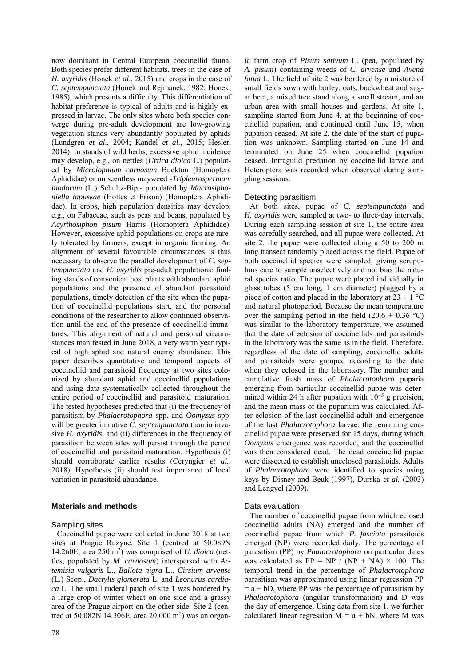now dominant in Central European coccinellid fauna. Both species prefer different habitats, trees in the case of *H. axyridis* (Honek *et al*., 2015) and crops in the case of *C. septempunctata* (Honek and Rejmanek, 1982; Honek, 1985), which presents a difficulty. This differentiation of habitat preference is typical of adults and is highly expressed in larvae. The only sites where both species converge during pre-adult development are low-growing vegetation stands very abundantly populated by aphids (Lundgren *et al*., 2004; Kandel *et al*., 2015; Hesler, 2014). In stands of wild herbs, excessive aphid incidence may develop, e.g., on nettles (*Urtica dioica* L.) populated by *Microlophium carnosum* Buckton (Homoptera Aphididae) or on scentless mayweed -*Tripleurospermum inodorum* (L.) Schultz-Bip.- populated by *Macrosiphoniella tapuskae* (Hottes et Frison) (Homoptera Aphididae). In crops, high population densities may develop, e.g., on Fabaceae, such as peas and beans, populated by *Acyrthosiphon pisum* Harris (Homoptera Aphididae). However, excessive aphid populations on crops are rarely tolerated by farmers, except in organic farming. An alignment of several favourable circumstances is thus necessary to observe the parallel development of *C. septempunctata* and *H. axyridis* pre-adult populations: finding stands of convenient host plants with abundant aphid populations and the presence of abundant parasitoid populations, timely detection of the site when the pupation of coccinellid populations start, and the personal conditions of the researcher to allow continued observation until the end of the presence of coccinellid immatures. This alignment of natural and personal circumstances manifested in June 2018, a very warm year typical of high aphid and natural enemy abundance. This paper describes quantitative and temporal aspects of coccinellid and parasitoid frequency at two sites colonized by abundant aphid and coccinellid populations and using data systematically collected throughout the entire period of coccinellid and parasitoid maturation. The tested hypotheses predicted that (i) the frequency of parasitism by *Phalacrotophora* spp. and *Oomyzus* spp. will be greater in native *C. septempunctata* than in invasive *H. axyridis*, and (ii) differences in the frequency of parasitism between sites will persist through the period of coccinellid and parasitoid maturation. Hypothesis (i) should corroborate earlier results (Ceryngier *et al.*, 2018). Hypothesis (ii) should test importance of local variation in parasitoid abundance.

# **Materials and methods**

## Sampling sites

Coccinellid pupae were collected in June 2018 at two sites at Prague Ruzyne. Site 1 (centred at 50.089N 14.260E, area 250 m<sup>2</sup> ) was comprised of *U. dioica* (nettles, populated by *M. carnosum*) interspersed with *Artemisia vulgaris* L., *Ballota nigra* L., *Cirsium arvense* (L.) Scop., *Dactylis glomerata* L. and *Leonurus cardiaca* L. The small ruderal patch of site 1 was bordered by a large crop of winter wheat on one side and a grassy area of the Prague airport on the other side. Site 2 (centred at 50.082N 14.306E, area 20,000 m<sup>2</sup>) was an organ-

ic farm crop of *Pisum sativum* L. (pea, populated by *A. pisum*) containing weeds of *C. arvense* and *Avena fatua* L. The field of site 2 was bordered by a mixture of small fields sown with barley, oats, buckwheat and sugar beet, a mixed tree stand along a small stream, and an urban area with small houses and gardens. At site 1, sampling started from June 4, at the beginning of coccinellid pupation, and continued until June 15, when pupation ceased. At site 2, the date of the start of pupation was unknown. Sampling started on June 14 and terminated on June 25 when coccinellid pupation ceased. Intraguild predation by coccinellid larvae and Heteroptera was recorded when observed during sampling sessions.

## Detecting parasitism

At both sites, pupae of *C. septempunctata* and *H. axyridis* were sampled at two- to three-day intervals. During each sampling session at site 1, the entire area was carefully searched, and all pupae were collected. At site 2, the pupae were collected along a 50 to 200 m long transect randomly placed across the field. Pupae of both coccinellid species were sampled, giving scrupulous care to sample unselectively and not bias the natural species ratio. The pupae were placed individually in glass tubes (5 cm long, 1 cm diameter) plugged by a piece of cotton and placed in the laboratory at  $23 \pm 1$  °C and natural photoperiod. Because the mean temperature over the sampling period in the field  $(20.6 \pm 0.36 \degree C)$ was similar to the laboratory temperature, we assumed that the date of eclosion of coccinellids and parasitoids in the laboratory was the same as in the field. Therefore, regardless of the date of sampling, coccinellid adults and parasitoids were grouped according to the date when they eclosed in the laboratory. The number and cumulative fresh mass of *Phalacrotophora* puparia emerging from particular coccinellid pupae was determined within 24 h after pupation with  $10^{-5}$  g precision. and the mean mass of the puparium was calculated. After eclosion of the last coccinellid adult and emergence of the last *Phalacrotophora* larvae, the remaining coccinellid pupae were preserved for 15 days, during which *Oomyzus* emergence was recorded, and the coccinellid was then considered dead. The dead coccinellid pupae were dissected to establish uneclosed parasitoids. Adults of *Phalacrotophora* were identified to species using keys by Disney and Beuk (1997), Durska *et al.* (2003) and Lengyel (2009).

#### Data evaluation

The number of coccinellid pupae from which eclosed coccinellid adults (NA) emerged and the number of coccinellid pupae from which *P. fasciata* parasitoids emerged (NP) were recorded daily. The percentage of parasitism (PP) by *Phalacrotophora* on particular dates was calculated as  $PP = NP / (NP + NA) \times 100$ . The temporal trend in the percentage of *Phalacrotophora* parasitism was approximated using linear regression PP  $=$  a + bD, where PP was the percentage of parasitism by *Phalacrotophora* (angular transformation) and D was the day of emergence. Using data from site 1, we further calculated linear regression  $M = a + bN$ , where M was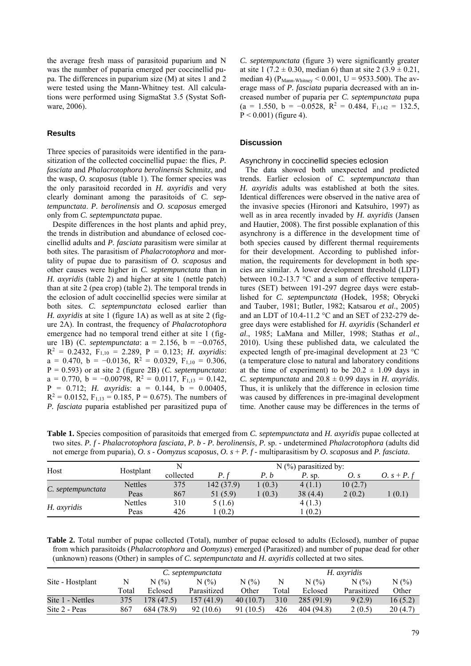the average fresh mass of parasitoid puparium and N was the number of puparia emerged per coccinellid pupa. The differences in puparium size (M) at sites 1 and 2 were tested using the Mann-Whitney test. All calculations were performed using SigmaStat 3.5 (Systat Software, 2006).

# **Results**

Three species of parasitoids were identified in the parasitization of the collected coccinellid pupae: the flies, *P. fasciata* and *Phalacrotophora berolinensis* Schmitz, and the wasp, *O. scaposus* (table 1). The former species was the only parasitoid recorded in *H. axyridis* and very clearly dominant among the parasitoids of *C. septempunctata*. *P. berolinensis* and *O. scaposus* emerged only from *C. septempunctata* pupae.

Despite differences in the host plants and aphid prey, the trends in distribution and abundance of eclosed coccinellid adults and *P. fasciata* parasitism were similar at both sites. The parasitism of *Phalacrotophora* and mortality of pupae due to parasitism of *O. scaposus* and other causes were higher in *C. septempunctata* than in *H. axyridis* (table 2) and higher at site 1 (nettle patch) than at site 2 (pea crop) (table 2). The temporal trends in the eclosion of adult coccinellid species were similar at both sites. *C. septempunctata* eclosed earlier than *H. axyridis* at site 1 (figure 1A) as well as at site 2 (figure 2A). In contrast, the frequency of *Phalacrotophora* emergence had no temporal trend either at site 1 (figure 1B) (C*. septempunctata*: a = 2.156, b = −0.0765,  $R^2 = 0.2432$ ,  $F_{1,10} = 2.289$ ,  $P = 0.123$ ; *H. axyridis*:  $a = 0.470$ ,  $b = -0.0136$ ,  $R^2 = 0.0329$ ,  $F_{1,10} = 0.306$ , P = 0.593) or at site 2 (figure 2B) (*C. septempunctata*:  $a = 0.770$ ,  $b = -0.00798$ ,  $R^2 = 0.0117$ ,  $F_{1,13} = 0.142$ , P = 0.712; *H. axyridis*: a = 0.144, b = 0.00405,  $R^2 = 0.0152$ ,  $F_{1,13} = 0.185$ ,  $P = 0.675$ ). The numbers of *P. fasciata* puparia established per parasitized pupa of

*C. septempunctata* (figure 3) were significantly greater at site 1 (7.2  $\pm$  0.30, median 6) than at site 2 (3.9  $\pm$  0.21, median 4) ( $P_{Mann-Whitney}$  < 0.001, U = 9533.500). The average mass of *P. fasciata* puparia decreased with an increased number of puparia per *C. septempunctata* pupa  $(a = 1.550, b = -0.0528, R^2 = 0.484, F_{1,142} = 132.5,$  $P < 0.001$ ) (figure 4).

# **Discussion**

#### Asynchrony in coccinellid species eclosion

The data showed both unexpected and predicted trends. Earlier eclosion of *C. septempunctata* than *H. axyridis* adults was established at both the sites. Identical differences were observed in the native area of the invasive species (Hironori and Katsuhiro, 1997) as well as in area recently invaded by *H. axyridis* (Jansen and Hautier, 2008). The first possible explanation of this asynchrony is a difference in the development time of both species caused by different thermal requirements for their development. According to published information, the requirements for development in both species are similar. A lower development threshold (LDT) between 10.2-13.7 °C and a sum of effective temperatures (SET) between 191-297 degree days were established for *C. septempunctata* (Hodek, 1958; Obrycki and Tauber, 1981; Butler, 1982; Katsarou *et al*., 2005) and an LDT of 10.4-11.2 °C and an SET of 232-279 degree days were established for *H. axyridis* (Schanderl *et al*., 1985; LaMana and Miller, 1998; Stathas *et al*., 2010). Using these published data, we calculated the expected length of pre-imaginal development at 23 °C (a temperature close to natural and laboratory conditions at the time of experiment) to be  $20.2 \pm 1.09$  days in *C. septempunctata* and  $20.8 \pm 0.99$  days in *H. axyridis.* Thus, it is unlikely that the difference in eclosion time was caused by differences in pre-imaginal development time. Another cause may be differences in the terms of

**Table 1.** Species composition of parasitoids that emerged from *C. septempunctata* and *H. axyridis* pupae collected at two sites. *P. f* - *Phalacrotophora fasciata*, *P. b* - *P. berolinensis*, *P.* sp. - undetermined *Phalacrotophora* (adults did not emerge from puparia), *O. s* - *Oomyzus scaposus*, *O. s* + *P. f* - multiparasitism by *O. scaposus* and *P. fasciata*.

| Host              | Hostplant      |           |           |        |          |         |               |
|-------------------|----------------|-----------|-----------|--------|----------|---------|---------------|
|                   |                | collected | D         | P. b   | $P.$ sp. | O. s    | O. $s + P. f$ |
| C. septempunctata | <b>Nettles</b> | 375       | 142(37.9) | 1(0.3) | 4(1,1)   | 10(2.7) |               |
|                   | Peas           | 867       | 51 (5.9)  | (0.3)  | 38 (4.4) | 2(0.2)  | (0.1)         |
| H. axyridis       | <b>Nettles</b> | 310       | 5(1.6)    |        | 4(1.3)   |         |               |
|                   | Peas           | 426       | (0.2)     |        | (0.2)    |         |               |

**Table 2.** Total number of pupae collected (Total), number of pupae eclosed to adults (Eclosed), number of pupae from which parasitoids (*Phalacrotophora* and *Oomyzus*) emerged (Parasitized) and number of pupae dead for other (unknown) reasons (Other) in samples of *C. septempunctata* and *H. axyridis* collected at two sites.

|                  |       | C. septempunctata |             |           |       | H. axyridis |             |         |  |
|------------------|-------|-------------------|-------------|-----------|-------|-------------|-------------|---------|--|
| Site - Hostplant | N     | N(%               | N(% )       | N(%)      | N     | N(%         | N(%         | $N(\%)$ |  |
|                  | Total | Eclosed           | Parasitized | Other     | Total | Eclosed     | Parasitized | Other   |  |
| Site 1 - Nettles | 375   | 178(47.5)         | 157 (41.9)  | 40(10.7)  | 310   | 285 (91.9)  | 9(2.9)      | 16(5.2) |  |
| Site 2 - Peas    | 867   | 684 (78.9)        | 92(10.6)    | 91 (10.5) | 426   | 404 (94.8)  | 2(0.5)      | 20(4.7) |  |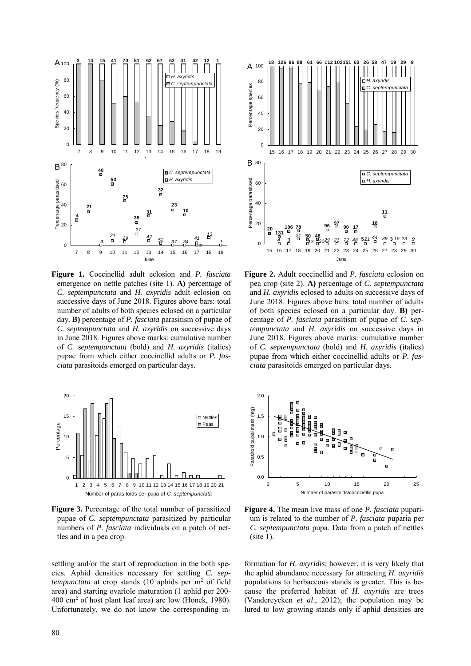

**Figure 1.** Coccinellid adult eclosion and *P. fasciata* emergence on nettle patches (site 1). **A)** percentage of *C. septempunctata* and *H. axyridis* adult eclosion on successive days of June 2018. Figures above bars: total number of adults of both species eclosed on a particular day. **B)** percentage of *P. fasciata* parasitism of pupae of *C. septempunctata* and *H. axyridis* on successive days in June 2018. Figures above marks: cumulative number of *C. septempunctata* (bold) and *H. axyridis* (italics) pupae from which either coccinellid adults or *P. fasciata* parasitoids emerged on particular days.



**Figure 3.** Percentage of the total number of parasitized pupae of *C. septempunctata* parasitized by particular numbers of *P. fasciata* individuals on a patch of nettles and in a pea crop.

settling and/or the start of reproduction in the both species. Aphid densities necessary for settling *C. septempunctata* at crop stands (10 aphids per m<sup>2</sup> of field area) and starting ovariole maturation (1 aphid per 200- 400 cm<sup>2</sup> of host plant leaf area) are low (Honek, 1980). Unfortunately, we do not know the corresponding in-



**Figure 2.** Adult coccinellid and *P. fasciata* eclosion on pea crop (site 2). **A)** percentage of *C. septempunctata* and *H. axyridis* eclosed to adults on successive days of June 2018. Figures above bars: total number of adults of both species eclosed on a particular day. **B)** percentage of *P. fasciata* parasitism of pupae of *C. septempunctata* and *H. axyridis* on successive days in June 2018. Figures above marks: cumulative number of *C. septempunctata* (bold) and *H. axyridis* (italics) pupae from which either coccinellid adults or *P. fasciata* parasitoids emerged on particular days.



**Figure 4.** The mean live mass of one *P. fasciata* puparium is related to the number of *P. fasciata* puparia per *C. septempunctata* pupa. Data from a patch of nettles  $(site 1)$ .

formation for *H. axyridis*; however, it is very likely that the aphid abundance necessary for attracting *H. axyridis* populations to herbaceous stands is greater. This is because the preferred habitat of *H. axyridis* are trees (Vandereycken *et al*., 2012); the population may be lured to low growing stands only if aphid densities are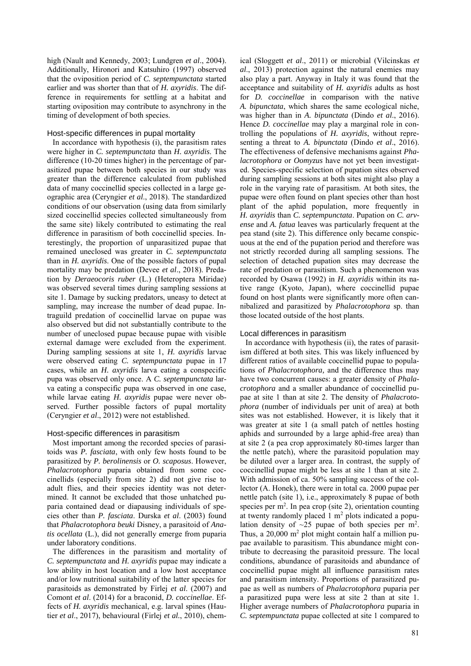high (Nault and Kennedy, 2003; Lundgren *et al*., 2004). Additionally, Hironori and Katsuhiro (1997) observed that the oviposition period of *C. septempunctata* started earlier and was shorter than that of *H. axyridis*. The difference in requirements for settling at a habitat and starting oviposition may contribute to asynchrony in the timing of development of both species.

## Host-specific differences in pupal mortality

In accordance with hypothesis (i), the parasitism rates were higher in *C. septempunctata* than *H. axyridis*. The difference (10-20 times higher) in the percentage of parasitized pupae between both species in our study was greater than the difference calculated from published data of many coccinellid species collected in a large geographic area (Ceryngier *et al*., 2018). The standardized conditions of our observation (using data from similarly sized coccinellid species collected simultaneously from the same site) likely contributed to estimating the real difference in parasitism of both coccinellid species. Interestingly, the proportion of unparasitized pupae that remained uneclosed was greater in *C. septempunctata* than in *H. axyridis*. One of the possible factors of pupal mortality may be predation (Devee *et al*., 2018). Predation by *Deraeocoris ruber* (L.) (Heteroptera Miridae) was observed several times during sampling sessions at site 1. Damage by sucking predators, uneasy to detect at sampling, may increase the number of dead pupae. Intraguild predation of coccinellid larvae on pupae was also observed but did not substantially contribute to the number of uneclosed pupae because pupae with visible external damage were excluded from the experiment. During sampling sessions at site 1, *H. axyridis* larvae were observed eating *C. septempunctata* pupae in 17 cases, while an *H. axyridis* larva eating a conspecific pupa was observed only once. A *C. septempunctata* larva eating a conspecific pupa was observed in one case, while larvae eating *H. axyridis* pupae were never observed. Further possible factors of pupal mortality (Ceryngier *et al*., 2012) were not established.

## Host-specific differences in parasitism

Most important among the recorded species of parasitoids was *P. fasciata*, with only few hosts found to be parasitized by *P. berolinensis* or *O. scaposus*. However, *Phalacrotophora* puparia obtained from some coccinellids (especially from site 2) did not give rise to adult flies, and their species identity was not determined. It cannot be excluded that those unhatched puparia contained dead or diapausing individuals of species other than *P. fasciata*. Durska *et al*. (2003) found that *Phalacrotophora beuki* Disney, a parasitoid of *Anatis ocellata* (L.), did not generally emerge from puparia under laboratory conditions.

The differences in the parasitism and mortality of *C. septempunctata* and *H. axyridis* pupae may indicate a low ability in host location and a low host acceptance and/or low nutritional suitability of the latter species for parasitoids as demonstrated by Firlej *et al*. (2007) and Comont *et al*. (2014) for a braconid, *D. coccinellae*. Effects of *H. axyridis* mechanical, e.g. larval spines (Hautier *et al*., 2017), behavioural (Firlej *et al.*, 2010), chem-

ical (Sloggett *et al*., 2011) or microbial (Vilcinskas *et al*., 2013) protection against the natural enemies may also play a part. Anyway in Italy it was found that the acceptance and suitability of *H. axyridis* adults as host for *D. coccinellae* in comparison with the native *A. bipunctata*, which shares the same ecological niche, was higher than in *A. bipunctata* (Dindo *et al*., 2016). Hence *D. coccinellae* may play a marginal role in controlling the populations of *H. axyridis*, without representing a threat to *A. bipunctata* (Dindo *et al*., 2016). The effectiveness of defensive mechanisms against *Phalacrotophora* or *Oomyzus* have not yet been investigated. Species-specific selection of pupation sites observed during sampling sessions at both sites might also play a role in the varying rate of parasitism. At both sites, the pupae were often found on plant species other than host plant of the aphid population, more frequently in *H. axyridis* than *C. septempunctata*. Pupation on *C. arvense* and *A. fatua* leaves was particularly frequent at the pea stand (site 2). This difference only became conspicuous at the end of the pupation period and therefore was not strictly recorded during all sampling sessions. The selection of detached pupation sites may decrease the rate of predation or parasitism. Such a phenomenon was recorded by Osawa (1992) in *H. axyridis* within its native range (Kyoto, Japan), where coccinellid pupae found on host plants were significantly more often cannibalized and parasitized by *Phalacrotophora* sp. than those located outside of the host plants.

## Local differences in parasitism

In accordance with hypothesis (ii), the rates of parasitism differed at both sites. This was likely influenced by different ratios of available coccinellid pupae to populations of *Phalacrotophora,* and the difference thus may have two concurrent causes: a greater density of *Phalacrotophora* and a smaller abundance of coccinellid pupae at site 1 than at site 2. The density of *Phalacrotophora* (number of individuals per unit of area) at both sites was not established. However, it is likely that it was greater at site 1 (a small patch of nettles hosting aphids and surrounded by a large aphid-free area) than at site 2 (a pea crop approximately 80-times larger than the nettle patch), where the parasitoid population may be diluted over a larger area. In contrast, the supply of coccinellid pupae might be less at site 1 than at site 2. With admission of ca. 50% sampling success of the collector (A. Honek), there were in total ca. 2000 pupae per nettle patch (site 1), i.e., approximately 8 pupae of both species per  $m<sup>2</sup>$ . In pea crop (site 2), orientation counting at twenty randomly placed  $1 \text{ m}^2$  plots indicated a population density of  $\sim$ 25 pupae of both species per m<sup>2</sup>. Thus, a  $20,000$  m<sup>2</sup> plot might contain half a million pupae available to parasitism. This abundance might contribute to decreasing the parasitoid pressure. The local conditions, abundance of parasitoids and abundance of coccinellid pupae might all influence parasitism rates and parasitism intensity. Proportions of parasitized pupae as well as numbers of *Phalacrotophora* puparia per a parasitized pupa were less at site 2 than at site 1. Higher average numbers of *Phalacrotophora* puparia in *C. septempunctata* pupae collected at site 1 compared to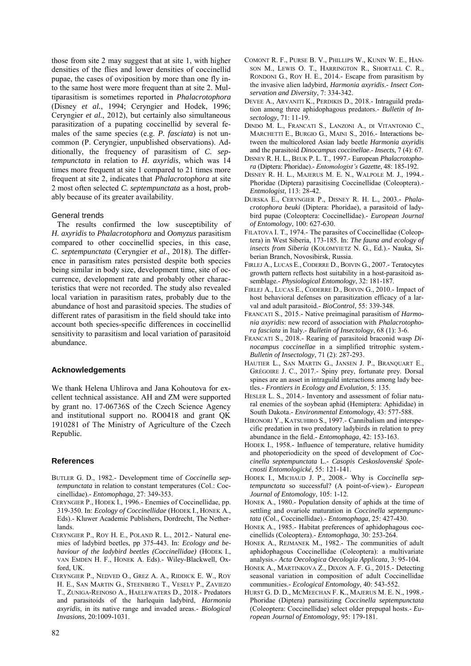those from site 2 may suggest that at site 1, with higher densities of the flies and lower densities of coccinellid pupae, the cases of oviposition by more than one fly into the same host were more frequent than at site 2. Multiparasitism is sometimes reported in *Phalacrotophora* (Disney *et al.*, 1994; Ceryngier and Hodek, 1996; Ceryngier *et al.*, 2012), but certainly also simultaneous parasitization of a pupating coccinellid by several females of the same species (e.g. *P. fasciata*) is not uncommon (P. Ceryngier, unpublished observations). Additionally, the frequency of parasitism of *C. septempunctata* in relation to *H. axyridis*, which was 14 times more frequent at site 1 compared to 21 times more frequent at site 2, indicates that *Phalacrotophora* at site 2 most often selected *C. septempunctata* as a host, probably because of its greater availability.

# General trends

The results confirmed the low susceptibility of *H. axyridis* to *Phalacrotophora* and *Oomyzus* parasitism compared to other coccinellid species, in this case, *C. septempunctata* (Ceryngier *et al*., 2018). The difference in parasitism rates persisted despite both species being similar in body size, development time, site of occurrence, development rate and probably other characteristics that were not recorded. The study also revealed local variation in parasitism rates, probably due to the abundance of host and parasitoid species. The studies of different rates of parasitism in the field should take into account both species-specific differences in coccinellid sensitivity to parasitism and local variation of parasitoid abundance.

# **Acknowledgements**

We thank Helena Uhlirova and Jana Kohoutova for excellent technical assistance. AH and ZM were supported by grant no. 17-06736S of the Czech Science Agency and institutional support no. RO0418 and grant QK 1910281 of The Ministry of Agriculture of the Czech Republic.

# **References**

- BUTLER G. D., 1982.- Development time of *Coccinella septempunctata* in relation to constant temperatures (Col.: Coccinellidae).- *Entomophaga*, 27: 349-353.
- CERYNGIER P., HODEK I., 1996.- Enemies of Coccinellidae, pp. 319-350. In: *Ecology of Coccinellidae* (HODEK I., HONEK A., Eds).- Kluwer Academic Publishers, Dordrecht, The Netherlands.
- CERYNGIER P., ROY H. E., POLAND R. L., 2012.- Natural enemies of ladybird beetles, pp 375-443. In: *Ecology and behaviour of the ladybird beetles (Coccinellidae)* (HODEK I., VAN EMDEN H. F., HONEK A. Eds).- Wiley-Blackwell, Oxford, UK.
- CERYNGIER P., NEDVED O., GREZ A. A., RIDDICK E. W., ROY H. E., SAN MARTIN G., STEENBERG T., VESELY P., ZAVIEZO T., ZUNIGA-REINOSO A., HAELEWATERS D., 2018.- Predators and parasitoids of the harlequin ladybird, *Harmonia axyridis*, in its native range and invaded areas.- *Biological Invasions*, 20:1009-1031.
- COMONT R. F., PURSE B. V., PHILLIPS W., KUNIN W. E., HAN-SON M., LEWIS O. T., HARRINGTON R., SHORTALL C. R., RONDONI G., ROY H. E., 2014.- Escape from parasitism by the invasive alien ladybird, *Harmonia axyridis*.- *Insect Conservation and Diversity*, 7: 334-342.
- DEVEE A., ARVANITI K., PERDIKIS D., 2018.- Intraguild predation among three aphidophagous predators.- *Bulletin of Insectology*, 71: 11-19.
- DINDO M. L., FRANCATI S., LANZONI A., DI VITANTONIO C., MARCHETTI E., BURGIO G., MAINI S., 2016.- Interactions between the multicolored Asian lady beetle *Harmonia axyridis* and the parasitoid *Dinocampus coccinellae*.- *Insects*, 7 (4): 67.
- DISNEY R. H. L., BEUK P. L. T., 1997.- European *Phalacrotophora* (Diptera: Phoridae).- *Entomologist's Gazette*, 48: 185-192.
- DISNEY R. H. L., MAJERUS M. E. N., WALPOLE M. J., 1994.- Phoridae (Diptera) parasitising Coccinellidae (Coleoptera).- *Entmologist*, 113: 28-42.
- DURSKA E., CERYNGIER P., DISNEY R. H. L., 2003.- *Phalacrotophora beuki* (Diptera: Phoridae), a parasitoid of ladybird pupae (Coleoptera: Coccinellidae).- *European Journal of Entomology*, 100: 627-630.
- FILATOVA I. T., 1974.- The parasites of Coccinellidae (Coleoptera) in West Siberia, 173-185. In: *The fauna and ecology of insects from Siberia* (KOLOMYIETZ N. G., Ed.).- Nauka, Siberian Branch, Novosibirsk, Russia.
- FIRLEJ A., LUCAS E., CODERRE D., BOIVIN G., 2007.- Teratocytes growth pattern reflects host suitability in a host-parasitoid assemblage.- *Physiological Entomology*, 32: 181-187.
- FIRLEJ A., LUCAS E., CODERRE D., BOIVIN G., 2010.- Impact of host behavioral defenses on parasitization efficacy of a larval and adult parasitoid.- *BioControl*, 55: 339-348.
- FRANCATI S., 2015.- Native preimaginal parasitism of *Harmonia axyridis*: new record of association with *Phalacrotophora fasciata* in Italy.- *Bulletin of Insectology*, 68 (1): 3-6.
- FRANCATI S., 2018.- Rearing of parasitoid braconid wasp *Dinocampus coccinellae* in a simplified tritrophic system.- *Bulletin of Insectology*, 71 (2): 287-293.
- HAUTIER L., SAN MARTIN G., JANSEN J. P., BRANQUART E., GRÉGOIRE J. C., 2017.- Spiny prey, fortunate prey. Dorsal spines are an asset in intraguild interactions among lady beetles.- *Frontiers in Ecology and Evolution*, 5: 135.
- HESLER L. S., 2014.- Inventory and assessment of foliar natural enemies of the soybean aphid (Hemiptera: Aphididae) in South Dakota.- *Environmental Entomology*, 43: 577-588.
- HIRONORI Y., KATSUHIRO S., 1997.- Cannibalism and interspecific predation in two predatory ladybirds in relation to prey abundance in the field.- *Entomophaga*, 42: 153-163.
- HODEK I., 1958.- Influence of temperature, relative humidity and photoperiodicity on the speed of development of *Coccinella septempunctata* L.- *Casopis Ceskoslovenské Spolecnosti Entomologické*, 55: 121-141.
- HODEK I., MICHAUD J. P., 2008.- Why is *Coccinella septempunctata* so successful? (A point-of-view).- *European Journal of Entomology*, 105: 1-12.
- HONEK A., 1980.- Population density of aphids at the time of settling and ovariole maturation in *Coccinella septempunctata* (Col., Coccinellidae).- *Entomophaga*, 25: 427-430.
- HONEK A., 1985.- Habitat preferences of aphidophagous coccinellids (Coleoptera).- *Entomophaga*, 30: 253-264.
- HONEK A., REJMANEK M., 1982.- The communities of adult aphidophagous Coccinellidae (Coleoptera): a multivariate analysis.- *Acta Oecologica Oecologia Applicata*, 3: 95-104.
- HONEK A., MARTINKOVA Z., DIXON A. F. G., 2015.- Detecting seasonal variation in composition of adult Coccinellidae communities.- *Ecological Entomology*, 40: 543-552.
- HURST G. D. D., MCMEECHAN F. K., MAJERUS M. E. N., 1998.- Phoridae (Diptera) parasitizing *Coccinella septempunctata* (Coleoptera: Coccinellidae) select older prepupal hosts.- *European Journal of Entomology*, 95: 179-181.